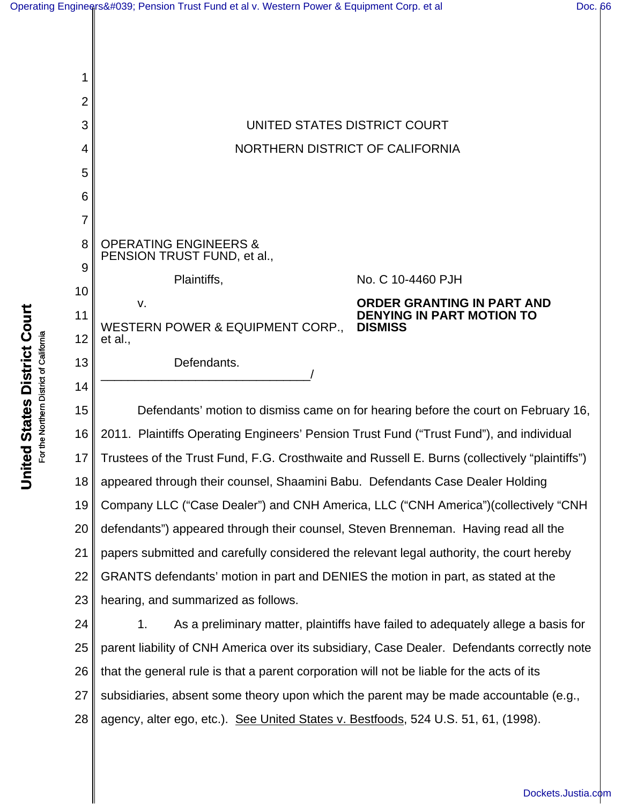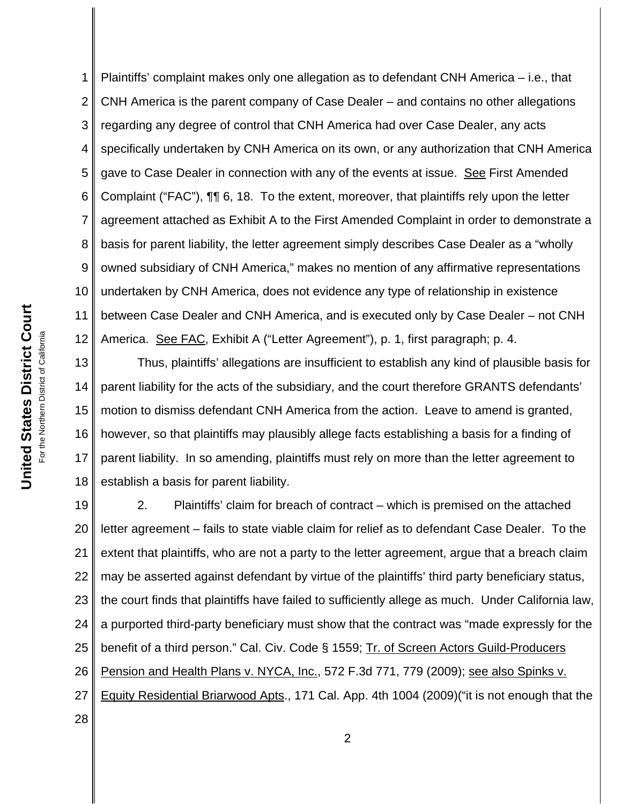1 2 3 4 5 6 7 8 9 10 11 12 Plaintiffs' complaint makes only one allegation as to defendant CNH America – i.e., that CNH America is the parent company of Case Dealer – and contains no other allegations regarding any degree of control that CNH America had over Case Dealer, any acts specifically undertaken by CNH America on its own, or any authorization that CNH America gave to Case Dealer in connection with any of the events at issue. See First Amended Complaint ("FAC"), ¶¶ 6, 18. To the extent, moreover, that plaintiffs rely upon the letter agreement attached as Exhibit A to the First Amended Complaint in order to demonstrate a basis for parent liability, the letter agreement simply describes Case Dealer as a "wholly owned subsidiary of CNH America," makes no mention of any affirmative representations undertaken by CNH America, does not evidence any type of relationship in existence between Case Dealer and CNH America, and is executed only by Case Dealer – not CNH America. See FAC, Exhibit A ("Letter Agreement"), p. 1, first paragraph; p. 4.

13 14 15 16 17 18 Thus, plaintiffs' allegations are insufficient to establish any kind of plausible basis for parent liability for the acts of the subsidiary, and the court therefore GRANTS defendants' motion to dismiss defendant CNH America from the action. Leave to amend is granted, however, so that plaintiffs may plausibly allege facts establishing a basis for a finding of parent liability. In so amending, plaintiffs must rely on more than the letter agreement to establish a basis for parent liability.

19 20 21 22 23 24 25 26 27 28 2. Plaintiffs' claim for breach of contract – which is premised on the attached letter agreement – fails to state viable claim for relief as to defendant Case Dealer. To the extent that plaintiffs, who are not a party to the letter agreement, argue that a breach claim may be asserted against defendant by virtue of the plaintiffs' third party beneficiary status, the court finds that plaintiffs have failed to sufficiently allege as much. Under California law, a purported third-party beneficiary must show that the contract was "made expressly for the benefit of a third person." Cal. Civ. Code § 1559; Tr. of Screen Actors Guild-Producers Pension and Health Plans v. NYCA, Inc., 572 F.3d 771, 779 (2009); see also Spinks v. Equity Residential Briarwood Apts., 171 Cal. App. 4th 1004 (2009)("it is not enough that the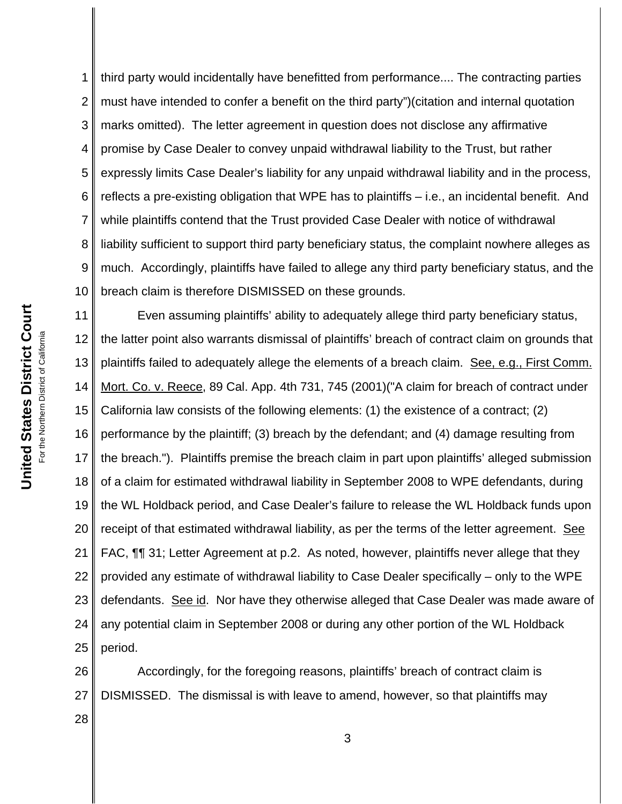1 2 3 4 5 6 7 8 9 10 third party would incidentally have benefitted from performance.... The contracting parties must have intended to confer a benefit on the third party")(citation and internal quotation marks omitted). The letter agreement in question does not disclose any affirmative promise by Case Dealer to convey unpaid withdrawal liability to the Trust, but rather expressly limits Case Dealer's liability for any unpaid withdrawal liability and in the process, reflects a pre-existing obligation that WPE has to plaintiffs – i.e., an incidental benefit. And while plaintiffs contend that the Trust provided Case Dealer with notice of withdrawal liability sufficient to support third party beneficiary status, the complaint nowhere alleges as much. Accordingly, plaintiffs have failed to allege any third party beneficiary status, and the breach claim is therefore DISMISSED on these grounds.

11 12 13 14 15 16 17 18 19 20 21 22 23 24 25 Even assuming plaintiffs' ability to adequately allege third party beneficiary status, the latter point also warrants dismissal of plaintiffs' breach of contract claim on grounds that plaintiffs failed to adequately allege the elements of a breach claim. See, e.g., First Comm. Mort. Co. v. Reece, 89 Cal. App. 4th 731, 745 (2001)("A claim for breach of contract under California law consists of the following elements: (1) the existence of a contract; (2) performance by the plaintiff; (3) breach by the defendant; and (4) damage resulting from the breach."). Plaintiffs premise the breach claim in part upon plaintiffs' alleged submission of a claim for estimated withdrawal liability in September 2008 to WPE defendants, during the WL Holdback period, and Case Dealer's failure to release the WL Holdback funds upon receipt of that estimated withdrawal liability, as per the terms of the letter agreement. See FAC, ¶¶ 31; Letter Agreement at p.2. As noted, however, plaintiffs never allege that they provided any estimate of withdrawal liability to Case Dealer specifically – only to the WPE defendants. See id. Nor have they otherwise alleged that Case Dealer was made aware of any potential claim in September 2008 or during any other portion of the WL Holdback period.

26 27 Accordingly, for the foregoing reasons, plaintiffs' breach of contract claim is DISMISSED. The dismissal is with leave to amend, however, so that plaintiffs may

**United States District Court United States District Court** For the Northern District of California For the Northern District of California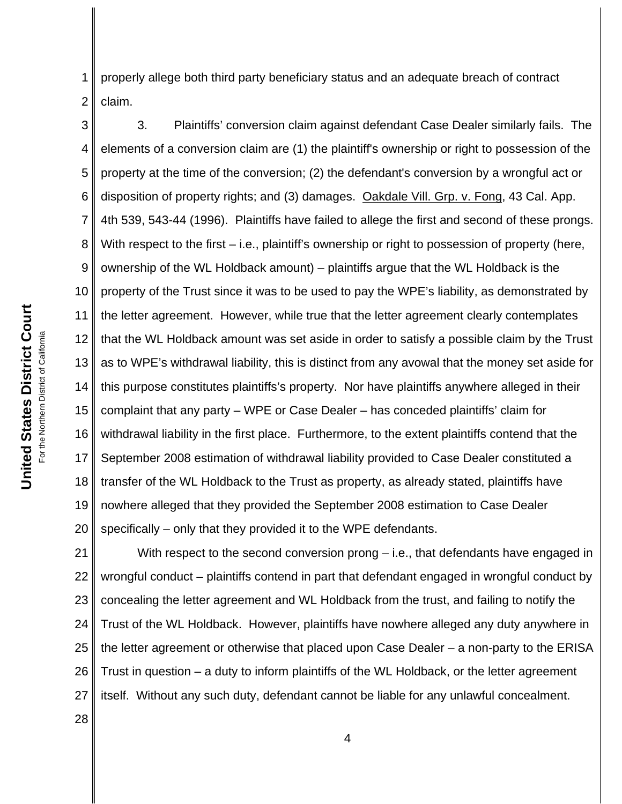1 2 properly allege both third party beneficiary status and an adequate breach of contract claim.

3 4 5 6 7 8 9 10 11 12 13 14 15 16 17 18 19 20 3. Plaintiffs' conversion claim against defendant Case Dealer similarly fails. The elements of a conversion claim are (1) the plaintiff's ownership or right to possession of the property at the time of the conversion; (2) the defendant's conversion by a wrongful act or disposition of property rights; and (3) damages. Oakdale Vill. Grp. v. Fong, 43 Cal. App. 4th 539, 543-44 (1996). Plaintiffs have failed to allege the first and second of these prongs. With respect to the first – i.e., plaintiff's ownership or right to possession of property (here, ownership of the WL Holdback amount) – plaintiffs argue that the WL Holdback is the property of the Trust since it was to be used to pay the WPE's liability, as demonstrated by the letter agreement. However, while true that the letter agreement clearly contemplates that the WL Holdback amount was set aside in order to satisfy a possible claim by the Trust as to WPE's withdrawal liability, this is distinct from any avowal that the money set aside for this purpose constitutes plaintiffs's property. Nor have plaintiffs anywhere alleged in their complaint that any party – WPE or Case Dealer – has conceded plaintiffs' claim for withdrawal liability in the first place. Furthermore, to the extent plaintiffs contend that the September 2008 estimation of withdrawal liability provided to Case Dealer constituted a transfer of the WL Holdback to the Trust as property, as already stated, plaintiffs have nowhere alleged that they provided the September 2008 estimation to Case Dealer specifically – only that they provided it to the WPE defendants.

21 22 23 24 25 26 27 With respect to the second conversion prong – i.e., that defendants have engaged in wrongful conduct – plaintiffs contend in part that defendant engaged in wrongful conduct by concealing the letter agreement and WL Holdback from the trust, and failing to notify the Trust of the WL Holdback. However, plaintiffs have nowhere alleged any duty anywhere in the letter agreement or otherwise that placed upon Case Dealer – a non-party to the ERISA Trust in question – a duty to inform plaintiffs of the WL Holdback, or the letter agreement itself. Without any such duty, defendant cannot be liable for any unlawful concealment.

**United States District Court United States District Court** For the Northern District of California For the Northern District of California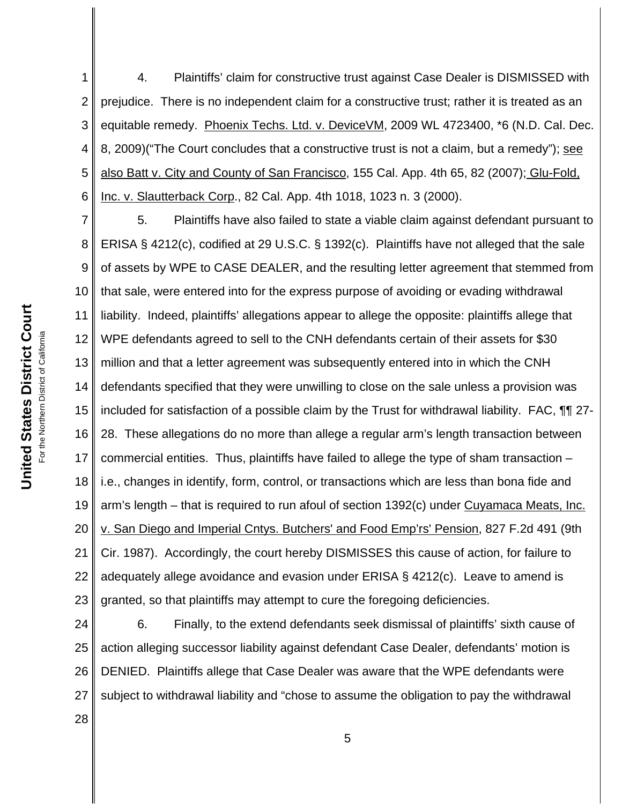1 2 3 4 5 6 4. Plaintiffs' claim for constructive trust against Case Dealer is DISMISSED with prejudice. There is no independent claim for a constructive trust; rather it is treated as an equitable remedy. Phoenix Techs. Ltd. v. DeviceVM, 2009 WL 4723400, \*6 (N.D. Cal. Dec. 8, 2009) ("The Court concludes that a constructive trust is not a claim, but a remedy"); see also Batt v. City and County of San Francisco, 155 Cal. App. 4th 65, 82 (2007); Glu-Fold, Inc. v. Slautterback Corp., 82 Cal. App. 4th 1018, 1023 n. 3 (2000).

7 8 9 10 11 12 13 14 15 16 17 18 19 20 21 22 23 5. Plaintiffs have also failed to state a viable claim against defendant pursuant to ERISA § 4212(c), codified at 29 U.S.C. § 1392(c). Plaintiffs have not alleged that the sale of assets by WPE to CASE DEALER, and the resulting letter agreement that stemmed from that sale, were entered into for the express purpose of avoiding or evading withdrawal liability. Indeed, plaintiffs' allegations appear to allege the opposite: plaintiffs allege that WPE defendants agreed to sell to the CNH defendants certain of their assets for \$30 million and that a letter agreement was subsequently entered into in which the CNH defendants specified that they were unwilling to close on the sale unless a provision was included for satisfaction of a possible claim by the Trust for withdrawal liability. FAC, **[1]** 27-28. These allegations do no more than allege a regular arm's length transaction between commercial entities. Thus, plaintiffs have failed to allege the type of sham transaction – i.e., changes in identify, form, control, or transactions which are less than bona fide and arm's length – that is required to run afoul of section 1392(c) under Cuyamaca Meats, Inc. v. San Diego and Imperial Cntys. Butchers' and Food Emp'rs' Pension, 827 F.2d 491 (9th Cir. 1987). Accordingly, the court hereby DISMISSES this cause of action, for failure to adequately allege avoidance and evasion under ERISA § 4212(c). Leave to amend is granted, so that plaintiffs may attempt to cure the foregoing deficiencies.

24 25 26 27 6. Finally, to the extend defendants seek dismissal of plaintiffs' sixth cause of action alleging successor liability against defendant Case Dealer, defendants' motion is DENIED. Plaintiffs allege that Case Dealer was aware that the WPE defendants were subject to withdrawal liability and "chose to assume the obligation to pay the withdrawal